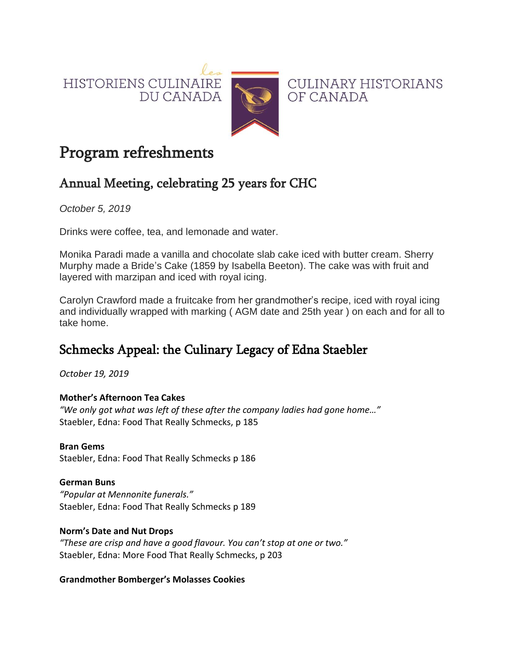HISTORIENS CULINAIRE DU CANADA



CULINARY HISTORIANS OF CANADA

# Program refreshments

## Annual Meeting, celebrating 25 years for CHC

*October 5, 2019*

Drinks were coffee, tea, and lemonade and water.

Monika Paradi made a vanilla and chocolate slab cake iced with butter cream. Sherry Murphy made a Bride's Cake (1859 by Isabella Beeton). The cake was with fruit and layered with marzipan and iced with royal icing.

Carolyn Crawford made a fruitcake from her grandmother's recipe, iced with royal icing and individually wrapped with marking ( AGM date and 25th year ) on each and for all to take home.

## Schmecks Appeal: the Culinary Legacy of Edna Staebler

*October 19, 2019*

#### **Mother's Afternoon Tea Cakes**

*"We only got what was left of these after the company ladies had gone home…"* Staebler, Edna: Food That Really Schmecks, p 185

#### **Bran Gems**

Staebler, Edna: Food That Really Schmecks p 186

#### **German Buns**

*"Popular at Mennonite funerals."* Staebler, Edna: Food That Really Schmecks p 189

#### **Norm's Date and Nut Drops**

*"These are crisp and have a good flavour. You can't stop at one or two."* Staebler, Edna: More Food That Really Schmecks, p 203

#### **Grandmother Bomberger's Molasses Cookies**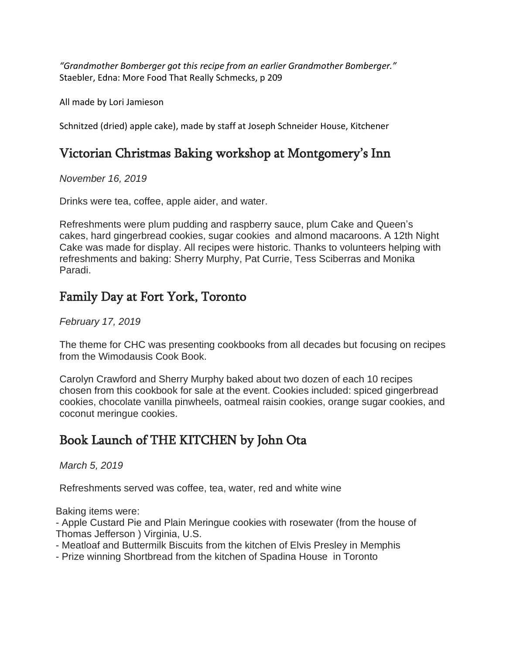*"Grandmother Bomberger got this recipe from an earlier Grandmother Bomberger."* Staebler, Edna: More Food That Really Schmecks, p 209

All made by Lori Jamieson

Schnitzed (dried) apple cake), made by staff at Joseph Schneider House, Kitchener

### Victorian Christmas Baking workshop at Montgomery's Inn

*November 16, 2019*

Drinks were tea, coffee, apple aider, and water.

Refreshments were plum pudding and raspberry sauce, plum Cake and Queen's cakes, hard gingerbread cookies, sugar cookies and almond macaroons. A 12th Night Cake was made for display. All recipes were historic. Thanks to volunteers helping with refreshments and baking: Sherry Murphy, Pat Currie, Tess Sciberras and Monika Paradi.

### Family Day at Fort York, Toronto

*February 17, 2019*

The theme for CHC was presenting cookbooks from all decades but focusing on recipes from the Wimodausis Cook Book.

Carolyn Crawford and Sherry Murphy baked about two dozen of each 10 recipes chosen from this cookbook for sale at the event. Cookies included: spiced gingerbread cookies, chocolate vanilla pinwheels, oatmeal raisin cookies, orange sugar cookies, and coconut meringue cookies.

## Book Launch of THE KITCHEN by John Ota

*March 5, 2019*

Refreshments served was coffee, tea, water, red and white wine

Baking items were:

- Apple Custard Pie and Plain Meringue cookies with rosewater (from the house of Thomas Jefferson ) Virginia, U.S.

- Meatloaf and Buttermilk Biscuits from the kitchen of Elvis Presley in Memphis
- Prize winning Shortbread from the kitchen of Spadina House in Toronto